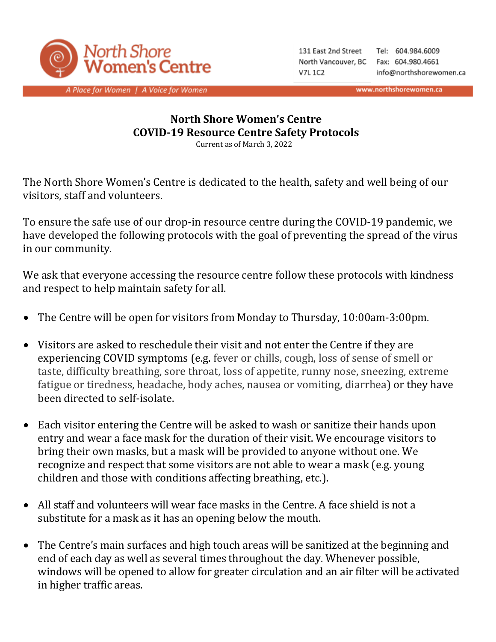

131 East 2nd Street North Vancouver, BC Fax: 604.980.4661 **V7L 1C2** 

Tel: 604.984.6009 info@northshorewomen.ca

www.northshorewomen.ca

A Place for Women | A Voice for Women

## **North Shore Women's Centre COVID-19 Resource Centre Safety Protocols**

Current as of March 3, 2022

The North Shore Women's Centre is dedicated to the health, safety and well being of our visitors, staff and volunteers.

To ensure the safe use of our drop-in resource centre during the COVID-19 pandemic, we have developed the following protocols with the goal of preventing the spread of the virus in our community.

We ask that everyone accessing the resource centre follow these protocols with kindness and respect to help maintain safety for all.

- The Centre will be open for visitors from Monday to Thursday, 10:00am-3:00pm.
- Visitors are asked to reschedule their visit and not enter the Centre if they are experiencing COVID symptoms (e.g. fever or chills, cough, loss of sense of smell or taste, difficulty breathing, sore throat, loss of appetite, runny nose, sneezing, extreme fatigue or tiredness, headache, body aches, nausea or vomiting, diarrhea) or they have been directed to self-isolate.
- Each visitor entering the Centre will be asked to wash or sanitize their hands upon entry and wear a face mask for the duration of their visit. We encourage visitors to bring their own masks, but a mask will be provided to anyone without one. We recognize and respect that some visitors are not able to wear a mask (e.g. young children and those with conditions affecting breathing, etc.).
- All staff and volunteers will wear face masks in the Centre. A face shield is not a substitute for a mask as it has an opening below the mouth.
- The Centre's main surfaces and high touch areas will be sanitized at the beginning and end of each day as well as several times throughout the day. Whenever possible, windows will be opened to allow for greater circulation and an air filter will be activated in higher traffic areas.